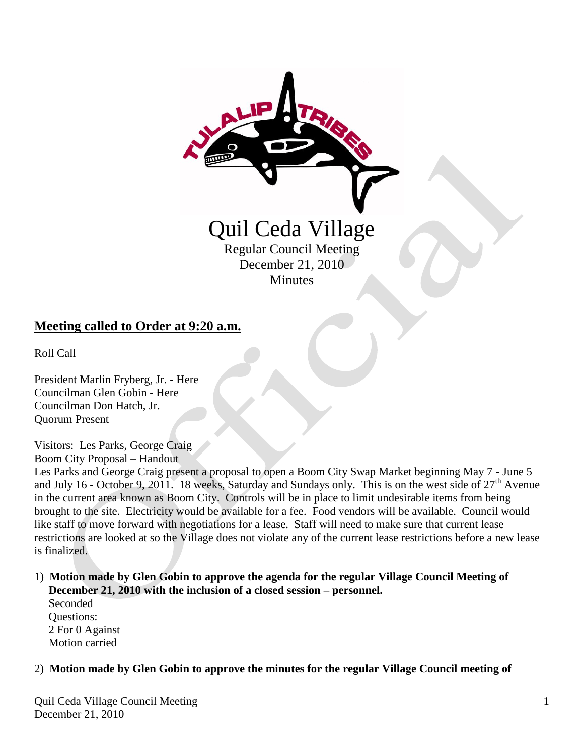

### **Meeting called to Order at 9:20 a.m.**

Roll Call

President Marlin Fryberg, Jr. - Here Councilman Glen Gobin - Here Councilman Don Hatch, Jr. Quorum Present

Visitors: Les Parks, George Craig Boom City Proposal – Handout

Les Parks and George Craig present a proposal to open a Boom City Swap Market beginning May 7 - June 5 and July 16 - October 9, 2011. 18 weeks, Saturday and Sundays only. This is on the west side of  $27<sup>th</sup>$  Avenue in the current area known as Boom City. Controls will be in place to limit undesirable items from being brought to the site. Electricity would be available for a fee. Food vendors will be available. Council would like staff to move forward with negotiations for a lease. Staff will need to make sure that current lease restrictions are looked at so the Village does not violate any of the current lease restrictions before a new lease is finalized.

#### 1) **Motion made by Glen Gobin to approve the agenda for the regular Village Council Meeting of December 21, 2010 with the inclusion of a closed session – personnel.**

 Seconded Questions: 2 For 0 Against Motion carried

#### 2) **Motion made by Glen Gobin to approve the minutes for the regular Village Council meeting of**

Quil Ceda Village Council Meeting December 21, 2010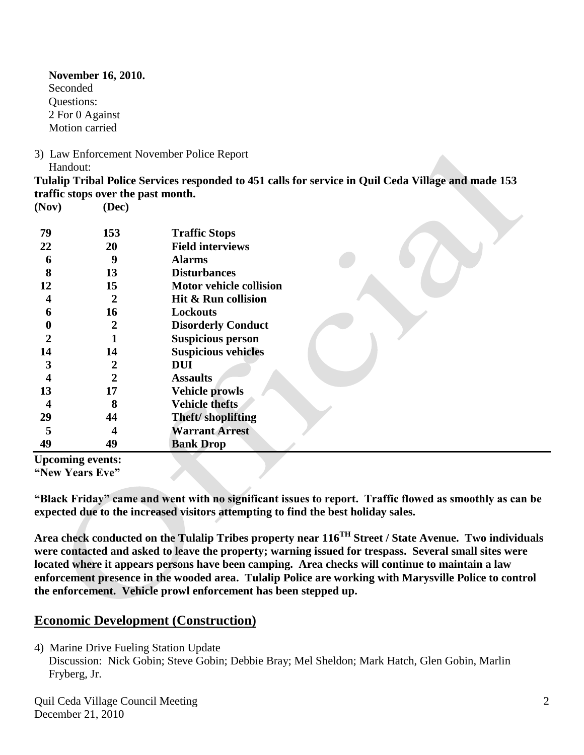**November 16, 2010.** Seconded Questions: 2 For 0 Against Motion carried

3) Law Enforcement November Police Report Handout:

**Tulalip Tribal Police Services responded to 451 calls for service in Quil Ceda Village and made 153 traffic stops over the past month.**

**(Nov) (Dec) 79 153 Traffic Stops 22 20 Field interviews 6 9 Alarms 8 13 Disturbances 12 15 Motor vehicle collision 4 2 Hit & Run collision 6 16 Lockouts 0 2 Disorderly Conduct 2 1 Suspicious person 14 14 Suspicious vehicles 3 2 DUI 4 2 Assaults 13 17 Vehicle prowls 4 8 Vehicle thefts 29 44 Theft/ shoplifting 5 4 Warrant Arrest 49 49 Bank Drop Upcoming events:**

**"New Years Eve"**

**"Black Friday" came and went with no significant issues to report. Traffic flowed as smoothly as can be expected due to the increased visitors attempting to find the best holiday sales.**

**Area check conducted on the Tulalip Tribes property near 116TH Street / State Avenue. Two individuals were contacted and asked to leave the property; warning issued for trespass. Several small sites were located where it appears persons have been camping. Area checks will continue to maintain a law enforcement presence in the wooded area. Tulalip Police are working with Marysville Police to control the enforcement. Vehicle prowl enforcement has been stepped up.** 

# **Economic Development (Construction)**

4) Marine Drive Fueling Station Update

Discussion: Nick Gobin; Steve Gobin; Debbie Bray; Mel Sheldon; Mark Hatch, Glen Gobin, Marlin Fryberg, Jr.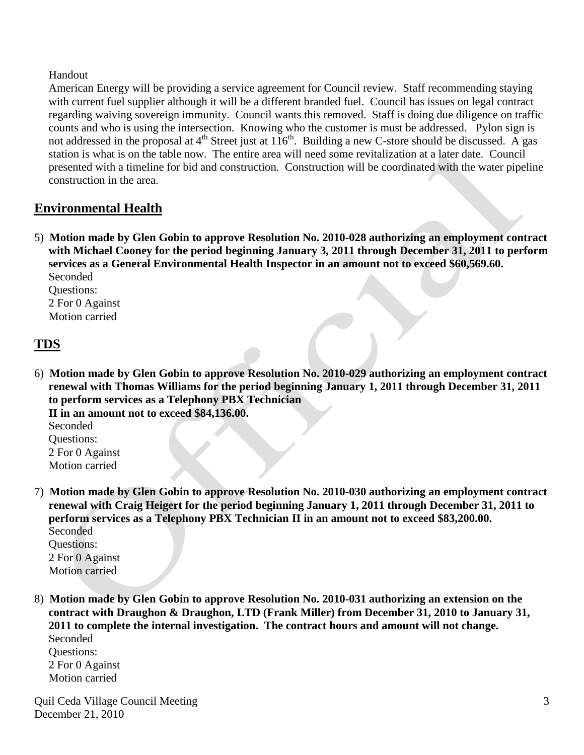#### Handout

 American Energy will be providing a service agreement for Council review. Staff recommending staying with current fuel supplier although it will be a different branded fuel. Council has issues on legal contract regarding waiving sovereign immunity. Council wants this removed. Staff is doing due diligence on traffic counts and who is using the intersection. Knowing who the customer is must be addressed. Pylon sign is not addressed in the proposal at  $4<sup>th</sup>$  Street just at  $116<sup>th</sup>$ . Building a new C-store should be discussed. A gas station is what is on the table now. The entire area will need some revitalization at a later date. Council presented with a timeline for bid and construction. Construction will be coordinated with the water pipeline construction in the area.

### **Environmental Health**

5) **Motion made by Glen Gobin to approve Resolution No. 2010-028 authorizing an employment contract with Michael Cooney for the period beginning January 3, 2011 through December 31, 2011 to perform services as a General Environmental Health Inspector in an amount not to exceed \$60,569.60.** Seconded

 Questions: 2 For 0 Against Motion carried

### **TDS**

6) **Motion made by Glen Gobin to approve Resolution No. 2010-029 authorizing an employment contract renewal with Thomas Williams for the period beginning January 1, 2011 through December 31, 2011 to perform services as a Telephony PBX Technician**

 **II in an amount not to exceed \$84,136.00.** Seconded Questions: 2 For 0 Against Motion carried

7) **Motion made by Glen Gobin to approve Resolution No. 2010-030 authorizing an employment contract renewal with Craig Heigert for the period beginning January 1, 2011 through December 31, 2011 to perform services as a Telephony PBX Technician II in an amount not to exceed \$83,200.00.** Seconded

 Questions: 2 For 0 Against Motion carried

8) **Motion made by Glen Gobin to approve Resolution No. 2010-031 authorizing an extension on the contract with Draughon & Draughon, LTD (Frank Miller) from December 31, 2010 to January 31, 2011 to complete the internal investigation. The contract hours and amount will not change.** Seconded

 Questions: 2 For 0 Against Motion carried

Quil Ceda Village Council Meeting December 21, 2010